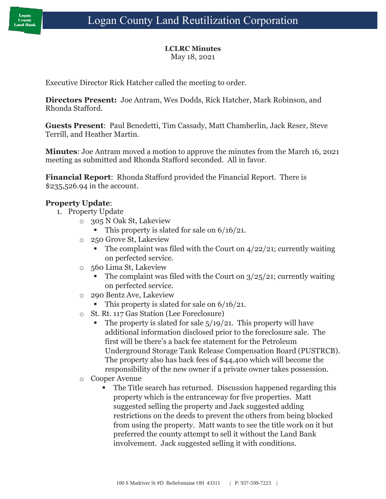# **LCLRC Minutes**

May 18, 2021

Executive Director Rick Hatcher called the meeting to order.

**Directors Present:** Joe Antram, Wes Dodds, Rick Hatcher, Mark Robinson, and Rhonda Stafford.

**Guests Present**: Paul Benedetti, Tim Cassady, Matt Chamberlin, Jack Reser, Steve Terrill, and Heather Martin.

**Minutes**: Joe Antram moved a motion to approve the minutes from the March 16, 2021 meeting as submitted and Rhonda Stafford seconded. All in favor.

**Financial Report**: Rhonda Stafford provided the Financial Report. There is \$235,526.94 in the account.

## **Property Update**:

- 1. Property Update
	- o 305 N Oak St, Lakeview
		- This property is slated for sale on  $6/16/21$ .
	- o 250 Grove St, Lakeview
		- **•** The complaint was filed with the Court on  $4/22/21$ ; currently waiting on perfected service.
	- o 560 Lima St, Lakeview
		- **•** The complaint was filed with the Court on  $3/25/21$ ; currently waiting on perfected service.
	- o 290 Bentz Ave, Lakeview
		- This property is slated for sale on  $6/16/21$ .
	- o St. Rt. 117 Gas Station (Lee Foreclosure)
		- **•** The property is slated for sale  $\frac{5}{19/21}$ . This property will have additional information disclosed prior to the foreclosure sale. The first will be there's a back fee statement for the Petroleum Underground Storage Tank Release Compensation Board (PUSTRCB). The property also has back fees of \$44,400 which will become the responsibility of the new owner if a private owner takes possession.
	- o Cooper Avenue
		- The Title search has returned. Discussion happened regarding this property which is the entranceway for five properties. Matt suggested selling the property and Jack suggested adding restrictions on the deeds to prevent the others from being blocked from using the property. Matt wants to see the title work on it but preferred the county attempt to sell it without the Land Bank involvement. Jack suggested selling it with conditions.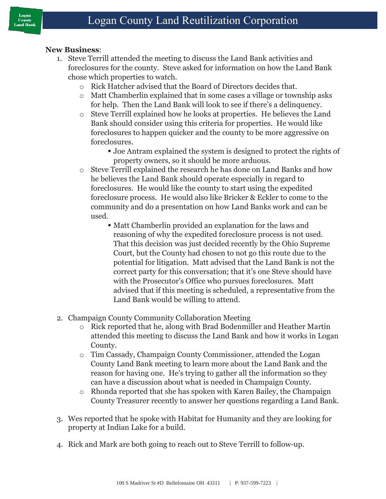#### **New Business**:

- 1. Steve Terrill attended the meeting to discuss the Land Bank activities and foreclosures for the county. Steve asked for information on how the Land Bank chose which properties to watch.
	- o Rick Hatcher advised that the Board of Directors decides that.
	- o Matt Chamberlin explained that in some cases a village or township asks for help. Then the Land Bank will look to see if there's a delinquency.
	- o Steve Terrill explained how he looks at properties. He believes the Land Bank should consider using this criteria for properties. He would like foreclosures to happen quicker and the county to be more aggressive on foreclosures.
		- Joe Antram explained the system is designed to protect the rights of property owners, so it should be more arduous.
	- o Steve Terrill explained the research he has done on Land Banks and how he believes the Land Bank should operate especially in regard to foreclosures. He would like the county to start using the expedited foreclosure process. He would also like Bricker & Eckler to come to the community and do a presentation on how Land Banks work and can be used.
		- Matt Chamberlin provided an explanation for the laws and reasoning of why the expedited foreclosure process is not used. That this decision was just decided recently by the Ohio Supreme Court, but the County had chosen to not go this route due to the potential for litigation. Matt advised that the Land Bank is not the correct party for this conversation; that it's one Steve should have with the Prosecutor's Office who pursues foreclosures. Matt advised that if this meeting is scheduled, a representative from the Land Bank would be willing to attend.
- 2. Champaign County Community Collaboration Meeting
	- o Rick reported that he, along with Brad Bodenmiller and Heather Martin attended this meeting to discuss the Land Bank and how it works in Logan County.
	- o Tim Cassady, Champaign County Commissioner, attended the Logan County Land Bank meeting to learn more about the Land Bank and the reason for having one. He's trying to gather all the information so they can have a discussion about what is needed in Champaign County.
	- o Rhonda reported that she has spoken with Karen Bailey, the Champaign County Treasurer recently to answer her questions regarding a Land Bank.
- 3. Wes reported that he spoke with Habitat for Humanity and they are looking for property at Indian Lake for a build.
- 4. Rick and Mark are both going to reach out to Steve Terrill to follow-up.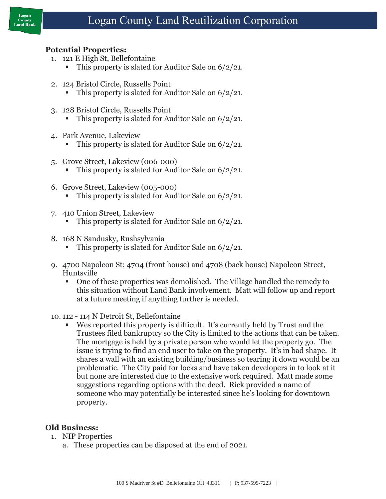

### **Potential Properties:**

- 1. 121 E High St, Bellefontaine
	- This property is slated for Auditor Sale on  $6/2/21$ .
- 2. 124 Bristol Circle, Russells Point
	- This property is slated for Auditor Sale on  $6/2/21$ .
- 3. 128 Bristol Circle, Russells Point
	- This property is slated for Auditor Sale on  $6/2/21$ .
- 4. Park Avenue, Lakeview
	- This property is slated for Auditor Sale on  $6/2/21$ .
- 5. Grove Street, Lakeview (006-000)
	- This property is slated for Auditor Sale on  $6/2/21$ .
- 6. Grove Street, Lakeview (005-000)
	- This property is slated for Auditor Sale on  $6/2/21$ .
- 7. 410 Union Street, Lakeview
	- This property is slated for Auditor Sale on  $6/2/21$ .
- 8. 168 N Sandusky, Rushsylvania
	- This property is slated for Auditor Sale on  $6/2/21$ .
- 9. 4700 Napoleon St; 4704 (front house) and 4708 (back house) Napoleon Street, Huntsville
	- One of these properties was demolished. The Village handled the remedy to this situation without Land Bank involvement. Matt will follow up and report at a future meeting if anything further is needed.
- 10. 112 114 N Detroit St, Bellefontaine
	- Wes reported this property is difficult. It's currently held by Trust and the Trustees filed bankruptcy so the City is limited to the actions that can be taken. The mortgage is held by a private person who would let the property go. The issue is trying to find an end user to take on the property. It's in bad shape. It shares a wall with an existing building/business so tearing it down would be an problematic. The City paid for locks and have taken developers in to look at it but none are interested due to the extensive work required. Matt made some suggestions regarding options with the deed. Rick provided a name of someone who may potentially be interested since he's looking for downtown property.

#### **Old Business:**

- 1. NIP Properties
	- a. These properties can be disposed at the end of 2021.